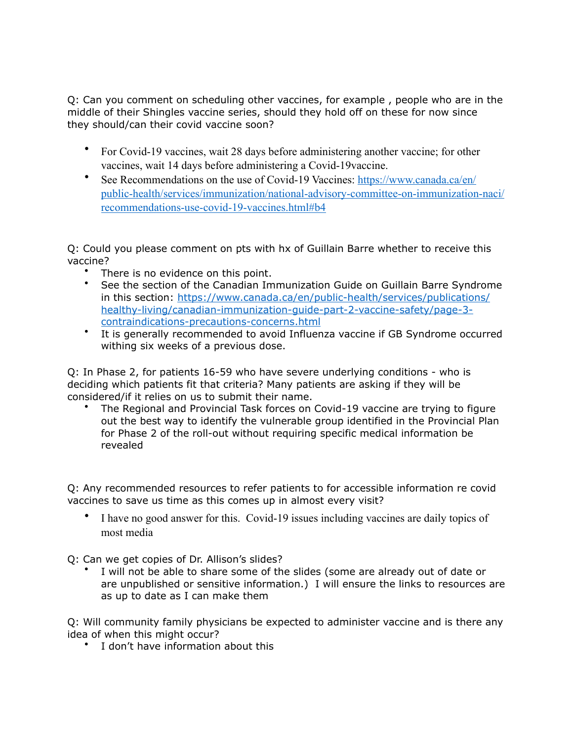Q: Can you comment on scheduling other vaccines, for example , people who are in the middle of their Shingles vaccine series, should they hold off on these for now since they should/can their covid vaccine soon?

- For Covid-19 vaccines, wait 28 days before administering another vaccine; for other vaccines, wait 14 days before administering a Covid-19vaccine.
- See Recommendations on the use of Covid-19 Vaccines: [https://www.canada.ca/en/](https://www.canada.ca/en/public-health/services/immunization/national-advisory-committee-on-immunization-naci/recommendations-use-covid-19-vaccines.html#b4) [public-health/services/immunization/national-advisory-committee-on-immunization-naci/](https://www.canada.ca/en/public-health/services/immunization/national-advisory-committee-on-immunization-naci/recommendations-use-covid-19-vaccines.html#b4) [recommendations-use-covid-19-vaccines.html#b4](https://www.canada.ca/en/public-health/services/immunization/national-advisory-committee-on-immunization-naci/recommendations-use-covid-19-vaccines.html#b4)

Q: Could you please comment on pts with hx of Guillain Barre whether to receive this vaccine?

- There is no evidence on this point.
- See the section of the Canadian Immunization Guide on Guillain Barre Syndrome [in this section: https://www.canada.ca/en/public-health/services/publications/](https://www.canada.ca/en/public-health/services/publications/healthy-living/canadian-immunization-guide-part-2-vaccine-safety/page-3-contraindications-precautions-concerns.html) [healthy-living/canadian-immunization-guide-part-2-vaccine-safety/page-3](https://www.canada.ca/en/public-health/services/publications/healthy-living/canadian-immunization-guide-part-2-vaccine-safety/page-3-contraindications-precautions-concerns.html) [contraindications-precautions-concerns.html](https://www.canada.ca/en/public-health/services/publications/healthy-living/canadian-immunization-guide-part-2-vaccine-safety/page-3-contraindications-precautions-concerns.html)
- It is generally recommended to avoid Influenza vaccine if GB Syndrome occurred withing six weeks of a previous dose.

Q: In Phase 2, for patients 16-59 who have severe underlying conditions - who is deciding which patients fit that criteria? Many patients are asking if they will be considered/if it relies on us to submit their name.

• The Regional and Provincial Task forces on Covid-19 vaccine are trying to figure out the best way to identify the vulnerable group identified in the Provincial Plan for Phase 2 of the roll-out without requiring specific medical information be revealed

Q: Any recommended resources to refer patients to for accessible information re covid vaccines to save us time as this comes up in almost every visit?

• I have no good answer for this. Covid-19 issues including vaccines are daily topics of most media

Q: Can we get copies of Dr. Allison's slides?

I will not be able to share some of the slides (some are already out of date or are unpublished or sensitive information.) I will ensure the links to resources are as up to date as I can make them

Q: Will community family physicians be expected to administer vaccine and is there any idea of when this might occur?

• I don't have information about this